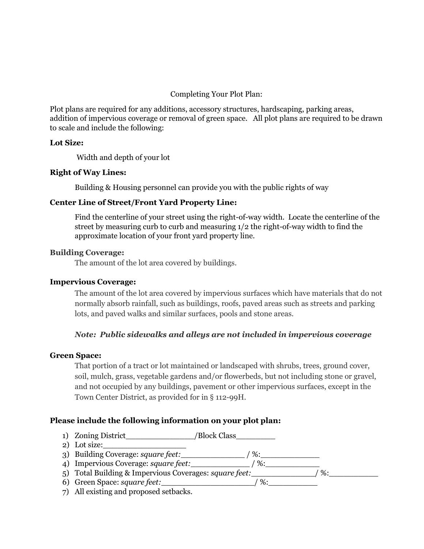# Completing Your Plot Plan:

Plot plans are required for any additions, accessory structures, hardscaping, parking areas, addition of impervious coverage or removal of green space. All plot plans are required to be drawn to scale and include the following:

# **Lot Size:**

Width and depth of your lot

# **Right of Way Lines:**

Building & Housing personnel can provide you with the public rights of way

# **Center Line of Street/Front Yard Property Line:**

Find the centerline of your street using the right-of-way width. Locate the centerline of the street by measuring curb to curb and measuring 1/2 the right-of-way width to find the approximate location of your front yard property line.

### **[Building](http://ecode360.com/6472051#6472051) Coverage:**

The amount of the lot area covered by buildings.

### **[Impervious](http://ecode360.com/6472186#6472186) Coverage:**

The amount of the lot area covered by impervious surfaces which have materials that do not normally absorb rainfall, such as buildings, roofs, paved areas such as streets and parking lots, and paved walks and similar surfaces, pools and stone areas.

### *Note: Public sidewalks and alleys are not included in impervious coverage*

### **[Green](http://ecode360.com/6472159#6472159) Space:**

That portion of a tract or lot maintained or landscaped with shrubs, trees, ground cover, soil, mulch, grass, vegetable gardens and/or flowerbeds, but not including stone or gravel, and not occupied by any buildings, pavement or other impervious surfaces, except in the Town Center District, as provided for in § 112-99H.

### **Please include the following information on your plot plan:**

- 1) Zoning District  $/Block Class$
- 2) Lot size:\_\_\_\_\_\_\_\_\_\_\_\_\_\_\_\_\_
- 3) Building Coverage: *square feet:*\_\_\_\_\_\_\_\_\_\_\_\_\_ / %:\_\_\_\_\_\_\_\_\_\_\_\_
- 4) Impervious Coverage: *square feet:*\_\_\_\_\_\_\_\_\_\_\_\_ / %:\_\_\_\_\_\_\_\_\_\_\_
- 5) Total Building & Impervious Coverages: square feet: \_\_\_\_\_\_\_\_\_\_\_\_\_\_\_/ %:\_\_\_\_\_\_\_
- 6) Green Space: *square feet:*\_\_\_\_\_\_\_\_\_\_\_\_\_\_\_\_\_\_\_/ %:\_\_\_\_\_\_\_\_\_\_
- 7) All existing and proposed setbacks.